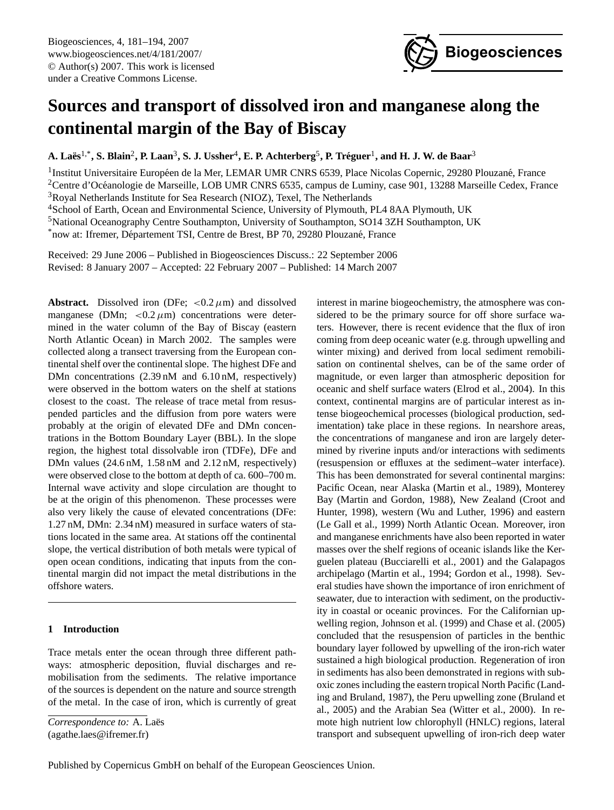

# <span id="page-0-0"></span>**Sources and transport of dissolved iron and manganese along the continental margin of the Bay of Biscay**

**A. Laes¨** 1,\***, S. Blain**<sup>2</sup> **, P. Laan**<sup>3</sup> **, S. J. Ussher**<sup>4</sup> **, E. P. Achterberg**<sup>5</sup> **, P. Treguer ´** 1 **, and H. J. W. de Baar**<sup>3</sup>

<sup>1</sup>Institut Universitaire Européen de la Mer, LEMAR UMR CNRS 6539, Place Nicolas Copernic, 29280 Plouzané, France <sup>2</sup>Centre d'Océanologie de Marseille, LOB UMR CNRS 6535, campus de Luminy, case 901, 13288 Marseille Cedex, France <sup>3</sup>Royal Netherlands Institute for Sea Research (NIOZ), Texel, The Netherlands <sup>4</sup>School of Earth, Ocean and Environmental Science, University of Plymouth, PL4 8AA Plymouth, UK <sup>5</sup>National Oceanography Centre Southampton, University of Southampton, SO14 3ZH Southampton, UK

\*now at: Ifremer, Département TSI, Centre de Brest, BP 70, 29280 Plouzané, France

Received: 29 June 2006 – Published in Biogeosciences Discuss.: 22 September 2006 Revised: 8 January 2007 – Accepted: 22 February 2007 – Published: 14 March 2007

**Abstract.** Dissolved iron (DFe;  $\langle 0.2 \mu m \rangle$  and dissolved manganese (DMn;  $<$  0.2  $\mu$ m) concentrations were determined in the water column of the Bay of Biscay (eastern North Atlantic Ocean) in March 2002. The samples were collected along a transect traversing from the European continental shelf over the continental slope. The highest DFe and DMn concentrations  $(2.39 \text{ nM}$  and  $6.10 \text{ nM}$ , respectively) were observed in the bottom waters on the shelf at stations closest to the coast. The release of trace metal from resuspended particles and the diffusion from pore waters were probably at the origin of elevated DFe and DMn concentrations in the Bottom Boundary Layer (BBL). In the slope region, the highest total dissolvable iron (TDFe), DFe and DMn values  $(24.6 \text{ nM}, 1.58 \text{ nM} \text{ and } 2.12 \text{ nM}, \text{ respectively})$ were observed close to the bottom at depth of ca. 600–700 m. Internal wave activity and slope circulation are thought to be at the origin of this phenomenon. These processes were also very likely the cause of elevated concentrations (DFe: 1.27 nM, DMn: 2.34 nM) measured in surface waters of stations located in the same area. At stations off the continental slope, the vertical distribution of both metals were typical of open ocean conditions, indicating that inputs from the continental margin did not impact the metal distributions in the offshore waters.

## **1 Introduction**

Trace metals enter the ocean through three different pathways: atmospheric deposition, fluvial discharges and remobilisation from the sediments. The relative importance of the sources is dependent on the nature and source strength of the metal. In the case of iron, which is currently of great

*Correspondence to:* A. Laës

(agathe.laes@ifremer.fr)

interest in marine biogeochemistry, the atmosphere was considered to be the primary source for off shore surface waters. However, there is recent evidence that the flux of iron coming from deep oceanic water (e.g. through upwelling and winter mixing) and derived from local sediment remobilisation on continental shelves, can be of the same order of magnitude, or even larger than atmospheric deposition for oceanic and shelf surface waters (Elrod et al., 2004). In this context, continental margins are of particular interest as intense biogeochemical processes (biological production, sedimentation) take place in these regions. In nearshore areas, the concentrations of manganese and iron are largely determined by riverine inputs and/or interactions with sediments (resuspension or effluxes at the sediment–water interface). This has been demonstrated for several continental margins: Pacific Ocean, near Alaska (Martin et al., 1989), Monterey Bay (Martin and Gordon, 1988), New Zealand (Croot and Hunter, 1998), western (Wu and Luther, 1996) and eastern (Le Gall et al., 1999) North Atlantic Ocean. Moreover, iron and manganese enrichments have also been reported in water masses over the shelf regions of oceanic islands like the Kerguelen plateau (Bucciarelli et al., 2001) and the Galapagos archipelago (Martin et al., 1994; Gordon et al., 1998). Several studies have shown the importance of iron enrichment of seawater, due to interaction with sediment, on the productivity in coastal or oceanic provinces. For the Californian upwelling region, Johnson et al. (1999) and Chase et al. (2005) concluded that the resuspension of particles in the benthic boundary layer followed by upwelling of the iron-rich water sustained a high biological production. Regeneration of iron in sediments has also been demonstrated in regions with suboxic zones including the eastern tropical North Pacific (Landing and Bruland, 1987), the Peru upwelling zone (Bruland et al., 2005) and the Arabian Sea (Witter et al., 2000). In remote high nutrient low chlorophyll (HNLC) regions, lateral transport and subsequent upwelling of iron-rich deep water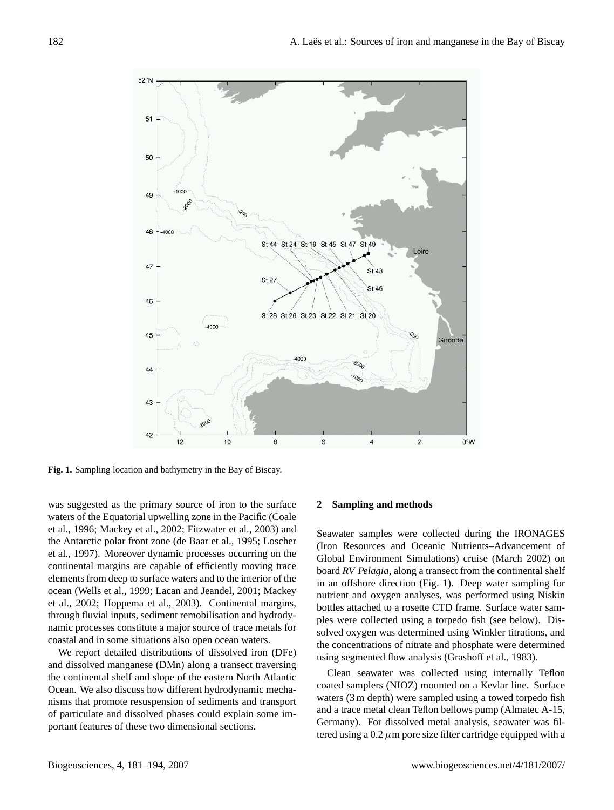

**Fig. 1.** Sampling location and bathymetry in the Bay of Biscay.

was suggested as the primary source of iron to the surface waters of the Equatorial upwelling zone in the Pacific (Coale et al., 1996; Mackey et al., 2002; Fitzwater et al., 2003) and the Antarctic polar front zone (de Baar et al., 1995; Loscher et al., 1997). Moreover dynamic processes occurring on the continental margins are capable of efficiently moving trace elements from deep to surface waters and to the interior of the ocean (Wells et al., 1999; Lacan and Jeandel, 2001; Mackey et al., 2002; Hoppema et al., 2003). Continental margins, through fluvial inputs, sediment remobilisation and hydrodynamic processes constitute a major source of trace metals for coastal and in some situations also open ocean waters.

We report detailed distributions of dissolved iron (DFe) and dissolved manganese (DMn) along a transect traversing the continental shelf and slope of the eastern North Atlantic Ocean. We also discuss how different hydrodynamic mechanisms that promote resuspension of sediments and transport of particulate and dissolved phases could explain some important features of these two dimensional sections.

## **2 Sampling and methods**

Seawater samples were collected during the IRONAGES (Iron Resources and Oceanic Nutrients–Advancement of Global Environment Simulations) cruise (March 2002) on board *RV Pelagia*, along a transect from the continental shelf in an offshore direction (Fig. 1). Deep water sampling for nutrient and oxygen analyses, was performed using Niskin bottles attached to a rosette CTD frame. Surface water samples were collected using a torpedo fish (see below). Dissolved oxygen was determined using Winkler titrations, and the concentrations of nitrate and phosphate were determined using segmented flow analysis (Grashoff et al., 1983).

Clean seawater was collected using internally Teflon coated samplers (NIOZ) mounted on a Kevlar line. Surface waters (3 m depth) were sampled using a towed torpedo fish and a trace metal clean Teflon bellows pump (Almatec A-15, Germany). For dissolved metal analysis, seawater was filtered using a  $0.2 \mu$ m pore size filter cartridge equipped with a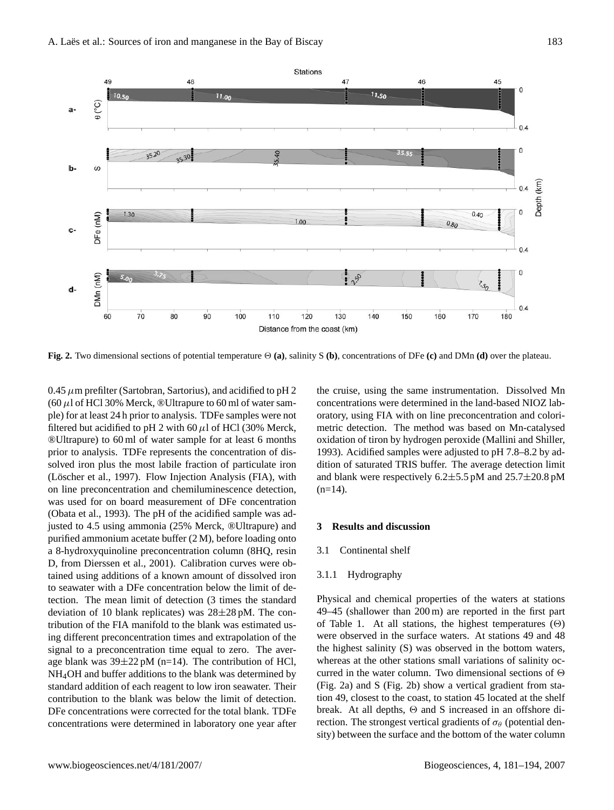48

 $25.30$ 

49

 $\theta$  (°C)

 $\omega$ 

DFe (nM)

Mn (nM

60

a·

 $\mathbf{h}$ 

c-

d-

 $10<sub>1</sub>$ 

 $1.30$ 

70

80

 $90$ 

100

35.20



Distance from the coast (km)

120

110

 $1.00$ 

 $\ddot{\cdot}$  $36$ 

130

140

150

**Fig. 2.** Two dimensional sections of potential temperature  $\Theta$  (a), salinity S (b), concentrations of DFe (c) and DMn (d) over the plateau.

 $0.45 \mu$ m prefilter (Sartobran, Sartorius), and acidified to pH 2 (60  $\mu$ l of HCl 30% Merck, ®Ultrapure to 60 ml of water sample) for at least 24 h prior to analysis. TDFe samples were not filtered but acidified to pH 2 with 60  $\mu$ l of HCl (30% Merck, ®Ultrapure) to 60 ml of water sample for at least 6 months prior to analysis. TDFe represents the concentration of dissolved iron plus the most labile fraction of particulate iron (Löscher et al., 1997). Flow Injection Analysis (FIA), with on line preconcentration and chemiluminescence detection, was used for on board measurement of DFe concentration (Obata et al., 1993). The pH of the acidified sample was adjusted to 4.5 using ammonia (25% Merck, ®Ultrapure) and purified ammonium acetate buffer (2 M), before loading onto a 8-hydroxyquinoline preconcentration column (8HQ, resin D, from Dierssen et al., 2001). Calibration curves were obtained using additions of a known amount of dissolved iron to seawater with a DFe concentration below the limit of detection. The mean limit of detection (3 times the standard deviation of 10 blank replicates) was 28±28 pM. The contribution of the FIA manifold to the blank was estimated using different preconcentration times and extrapolation of the signal to a preconcentration time equal to zero. The average blank was  $39\pm22$  pM (n=14). The contribution of HCl, NH4OH and buffer additions to the blank was determined by standard addition of each reagent to low iron seawater. Their contribution to the blank was below the limit of detection. DFe concentrations were corrected for the total blank. TDFe concentrations were determined in laboratory one year after the cruise, using the same instrumentation. Dissolved Mn concentrations were determined in the land-based NIOZ laboratory, using FIA with on line preconcentration and colorimetric detection. The method was based on Mn-catalysed oxidation of tiron by hydrogen peroxide (Mallini and Shiller, 1993). Acidified samples were adjusted to pH 7.8–8.2 by addition of saturated TRIS buffer. The average detection limit and blank were respectively  $6.2 \pm 5.5$  pM and  $25.7 \pm 20.8$  pM  $(n=14)$ .

160

## **3 Results and discussion**

## 3.1 Continental shelf

## 3.1.1 Hydrography

Physical and chemical properties of the waters at stations 49–45 (shallower than 200 m) are reported in the first part of Table 1. At all stations, the highest temperatures  $(\Theta)$ were observed in the surface waters. At stations 49 and 48 the highest salinity (S) was observed in the bottom waters, whereas at the other stations small variations of salinity occurred in the water column. Two dimensional sections of  $\Theta$ (Fig. 2a) and S (Fig. 2b) show a vertical gradient from station 49, closest to the coast, to station 45 located at the shelf break. At all depths,  $\Theta$  and S increased in an offshore direction. The strongest vertical gradients of  $\sigma_{\theta}$  (potential density) between the surface and the bottom of the water column

 $\overline{0}$ 

 $04$ 

 $0.4$ 

180

 $0.40$ 

170

 $0.80$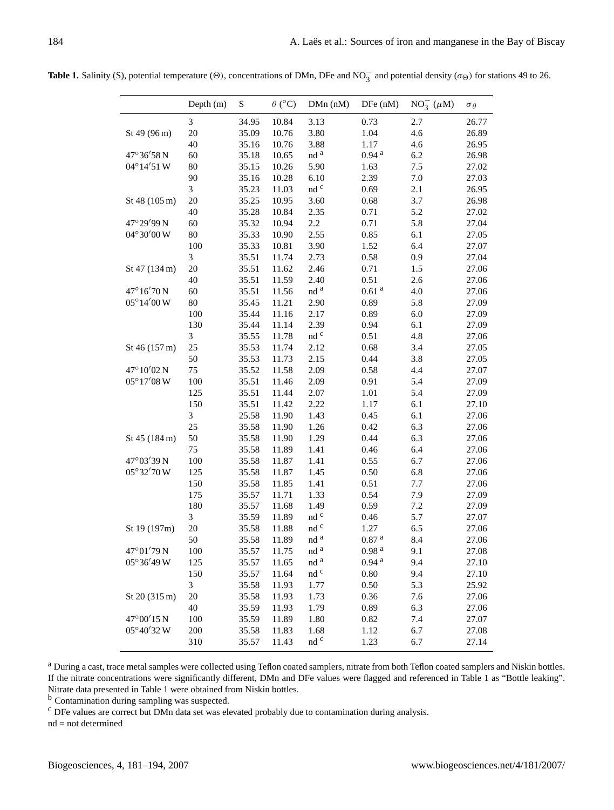**Table 1.** Salinity (S), potential temperature ( $\Theta$ ), concentrations of DMn, DFe and NO<sub>3</sub> and potential density ( $\sigma_{\Theta}$ ) for stations 49 to 26.

|                               | Depth $(m)$ | S     | $\theta$ (°C) | DMn (nM)              | DFe (nM)          | $NO_3^-$ ( $\mu$ M) | $\sigma_{\theta}$ |
|-------------------------------|-------------|-------|---------------|-----------------------|-------------------|---------------------|-------------------|
|                               | 3           | 34.95 | 10.84         | 3.13                  | 0.73              | 2.7                 | 26.77             |
| St 49 (96 m)                  | 20          | 35.09 | 10.76         | 3.80                  | 1.04              | 4.6                 | 26.89             |
|                               | 40          | 35.16 | 10.76         | 3.88                  | 1.17              | 4.6                 | 26.95             |
| 47°36'58N                     | 60          | 35.18 | 10.65         | nd a                  | 0.94 <sup>a</sup> | 6.2                 | 26.98             |
| 04°14'51 W                    | 80          | 35.15 | 10.26         | 5.90                  | 1.63              | $7.5$               | 27.02             |
|                               | 90          | 35.16 | 10.28         | 6.10                  | 2.39              | $7.0\,$             | 27.03             |
|                               | 3           | 35.23 | 11.03         | nd c                  | 0.69              | 2.1                 | 26.95             |
| St 48 (105 m)                 | $20\,$      | 35.25 | 10.95         | 3.60                  | 0.68              | 3.7                 | 26.98             |
|                               | 40          | 35.28 | 10.84         | 2.35                  | 0.71              | 5.2                 | 27.02             |
| 47°29'99N                     | 60          | 35.32 | 10.94         | 2.2                   | 0.71              | 5.8                 | 27.04             |
| 04°30'00 W                    | 80          | 35.33 | 10.90         | 2.55                  | 0.85              | 6.1                 | 27.05             |
|                               | 100         | 35.33 | 10.81         | 3.90                  | 1.52              | 6.4                 | 27.07             |
|                               | 3           | 35.51 | 11.74         | 2.73                  | 0.58              | 0.9                 | 27.04             |
| St 47 (134 m)                 | 20          | 35.51 | 11.62         | 2.46                  | 0.71              | 1.5                 | 27.06             |
|                               | 40          | 35.51 | 11.59         | 2.40                  | 0.51              | 2.6                 | 27.06             |
| 47°16'70N                     | 60          | 35.51 | 11.56         | $\rm{nd}$ $^{\rm{a}}$ | $0.61$ $^{\rm a}$ | 4.0                 | 27.06             |
| $05^{\circ}14'00\,\mathrm{W}$ | 80          | 35.45 | 11.21         | 2.90                  | 0.89              | 5.8                 | 27.09             |
|                               | 100         | 35.44 | 11.16         | 2.17                  | 0.89              | 6.0                 | 27.09             |
|                               | 130         | 35.44 | 11.14         | 2.39                  | 0.94              | 6.1                 | 27.09             |
|                               | 3           | 35.55 | 11.78         | nd c                  | 0.51              | 4.8                 | 27.06             |
| St 46 (157 m)                 | 25          | 35.53 | 11.74         | 2.12                  | 0.68              | 3.4                 | 27.05             |
|                               | 50          | 35.53 | 11.73         | 2.15                  | 0.44              | 3.8                 | 27.05             |
| 47°10'02N                     | 75          | 35.52 | 11.58         | 2.09                  | 0.58              | 4.4                 | 27.07             |
| $05^{\circ}17'08$ W           | 100         | 35.51 | 11.46         | 2.09                  | 0.91              | 5.4                 | 27.09             |
|                               | 125         | 35.51 | 11.44         | 2.07                  | 1.01              | 5.4                 | 27.09             |
|                               | 150         | 35.51 | 11.42         | 2.22                  | 1.17              | 6.1                 | 27.10             |
|                               | 3           | 25.58 | 11.90         | 1.43                  | 0.45              | 6.1                 | 27.06             |
|                               | 25          | 35.58 | 11.90         | 1.26                  | 0.42              | 6.3                 | 27.06             |
| St 45 (184 m)                 | 50          | 35.58 | 11.90         | 1.29                  | 0.44              | 6.3                 | 27.06             |
|                               | 75          | 35.58 | 11.89         | 1.41                  | 0.46              | 6.4                 | 27.06             |
| 47°03'39N                     | 100         | 35.58 | 11.87         | 1.41                  | 0.55              | 6.7                 | 27.06             |
| 05°32'70 W                    | 125         | 35.58 | 11.87         | 1.45                  | 0.50              | 6.8                 | 27.06             |
|                               | 150         | 35.58 | 11.85         | 1.41                  | 0.51              | 7.7                 | 27.06             |
|                               | 175         | 35.57 | 11.71         | 1.33                  | 0.54              | 7.9                 | 27.09             |
|                               | 180         | 35.57 | 11.68         | 1.49                  | 0.59              | 7.2                 | 27.09             |
|                               | 3           | 35.59 | 11.89         | $\rm{nd}$ $\rm{c}$    | 0.46              | 5.7                 | 27.07             |
| St 19 (197m)                  | $20\,$      | 35.58 | 11.88         | nd c                  | 1.27              | 6.5                 | 27.06             |
|                               | 50          | 35.58 | 11.89         | nd <sup>a</sup>       | $0.87$ $^{\rm a}$ | 8.4                 | 27.06             |
| $47^{\circ}01'79N$            | 100         | 35.57 | 11.75         | nd <sup>a</sup>       | $0.98$ $^{\rm a}$ | 9.1                 | 27.08             |
| 05°36'49 W                    | 125         | 35.57 | 11.65         | nd <sup>a</sup>       | 0.94 <sup>a</sup> | 9.4                 | 27.10             |
|                               | 150         | 35.57 | 11.64         | nd c                  | 0.80              | 9.4                 | 27.10             |
|                               | 3           | 35.58 | 11.93         | 1.77                  | 0.50              | 5.3                 | 25.92             |
| St 20 (315 m)                 | 20          | 35.58 | 11.93         | 1.73                  | 0.36              | 7.6                 | 27.06             |
|                               | 40          | 35.59 | 11.93         | 1.79                  | 0.89              | 6.3                 | 27.06             |
| 47°00'15N                     | 100         | 35.59 | 11.89         | 1.80                  | 0.82              | 7.4                 | 27.07             |
| 05°40'32 W                    | 200         | 35.58 | 11.83         | 1.68                  | 1.12              | 6.7                 | 27.08             |
|                               | 310         | 35.57 | 11.43         | nd c                  | 1.23              | 6.7                 | 27.14             |

<sup>a</sup> During a cast, trace metal samples were collected using Teflon coated samplers, nitrate from both Teflon coated samplers and Niskin bottles. If the nitrate concentrations were significantly different, DMn and DFe values were flagged and referenced in Table 1 as "Bottle leaking". Nitrate data presented in Table 1 were obtained from Niskin bottles.

<sup>b</sup> Contamination during sampling was suspected.

<sup>c</sup> DFe values are correct but DMn data set was elevated probably due to contamination during analysis.

nd = not determined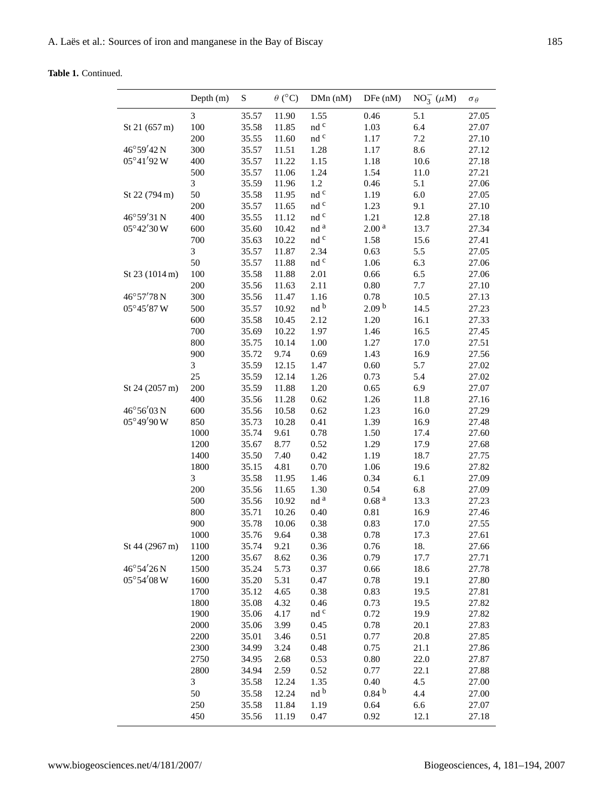**Table 1.** Continued.

|                    | Depth (m)      | S     | $\theta$ (°C) | DMn (nM)              | DFe (nM)          | $NO_3^-$ ( $\mu$ M) | $\sigma_{\theta}$ |
|--------------------|----------------|-------|---------------|-----------------------|-------------------|---------------------|-------------------|
|                    | $\mathfrak{Z}$ | 35.57 | 11.90         | 1.55                  | 0.46              | 5.1                 | 27.05             |
| St 21 (657 m)      | 100            | 35.58 | 11.85         | $\rm{nd}$ $\rm{c}$    | 1.03              | 6.4                 | 27.07             |
|                    | 200            | 35.55 | 11.60         | nd c                  | 1.17              | 7.2                 | 27.10             |
| 46°59'42N          | 300            | 35.57 | 11.51         | 1.28                  | 1.17              | 8.6                 | 27.12             |
| $05^{\circ}41'92W$ | 400            | 35.57 | 11.22         | 1.15                  | 1.18              | 10.6                | 27.18             |
|                    | 500            | 35.57 | 11.06         | 1.24                  | 1.54              | 11.0                | 27.21             |
|                    | 3              | 35.59 | 11.96         | 1.2                   | 0.46              | 5.1                 | 27.06             |
| St 22 (794 m)      | 50             | 35.58 | 11.95         | nd c                  | 1.19              | 6.0                 | 27.05             |
|                    | 200            | 35.57 | 11.65         | nd c                  | 1.23              | 9.1                 | 27.10             |
| 46°59'31N          | 400            | 35.55 | 11.12         | nd c                  | 1.21              | 12.8                | 27.18             |
| 05°42'30 W         | 600            | 35.60 | 10.42         | $\rm{nd}$ $^{\rm{a}}$ | 2.00 <sup>a</sup> | 13.7                | 27.34             |
|                    | 700            | 35.63 | 10.22         | nd c                  | 1.58              | 15.6                | 27.41             |
|                    | $\mathfrak{Z}$ | 35.57 | 11.87         | 2.34                  | 0.63              | 5.5                 | 27.05             |
|                    | 50             | 35.57 | 11.88         | nd c                  | 1.06              | 6.3                 | 27.06             |
| St 23 (1014 m)     | 100            | 35.58 | 11.88         | 2.01                  | 0.66              | 6.5                 | 27.06             |
|                    | 200            | 35.56 | 11.63         | 2.11                  | $0.80\,$          | 7.7                 | 27.10             |
| 46°57'78N          | 300            | 35.56 | 11.47         | 1.16                  | 0.78              | 10.5                | 27.13             |
| 05°45'87 W         | 500            | 35.57 | 10.92         | nd b                  | 2.09 <sup>b</sup> | 14.5                | 27.23             |
|                    | 600            | 35.58 | 10.45         | 2.12                  | 1.20              | 16.1                | 27.33             |
|                    | 700            | 35.69 | 10.22         | 1.97                  | 1.46              | 16.5                | 27.45             |
|                    | 800            | 35.75 | 10.14         | 1.00                  | 1.27              | 17.0                | 27.51             |
|                    | 900            | 35.72 | 9.74          | 0.69                  | 1.43              | 16.9                | 27.56             |
|                    | 3              | 35.59 | 12.15         | 1.47                  | 0.60              | 5.7                 | 27.02             |
|                    | 25             | 35.59 | 12.14         | 1.26                  | 0.73              | 5.4                 | 27.02             |
| St 24 (2057 m)     | 200            | 35.59 | 11.88         | 1.20                  | 0.65              | 6.9                 | 27.07             |
|                    | 400            | 35.56 | 11.28         | 0.62                  | 1.26              | 11.8                | 27.16             |
| 46°56'03N          | 600            | 35.56 | 10.58         | 0.62                  | 1.23              | 16.0                | 27.29             |
| 05°49'90W          | 850            | 35.73 | 10.28         | 0.41                  | 1.39              | 16.9                | 27.48             |
|                    | 1000           | 35.74 | 9.61          | 0.78                  | 1.50              | 17.4                | 27.60             |
|                    | 1200           | 35.67 | 8.77          | 0.52                  | 1.29              | 17.9                | 27.68             |
|                    | 1400           | 35.50 | 7.40          | 0.42                  | 1.19              | 18.7                | 27.75             |
|                    | 1800           | 35.15 | 4.81          | 0.70                  | 1.06              | 19.6                | 27.82             |
|                    | 3              | 35.58 | 11.95         | 1.46                  | 0.34              | 6.1                 | 27.09             |
|                    | 200            | 35.56 | 11.65         | 1.30                  | 0.54              | 6.8                 | 27.09             |
|                    | 500            | 35.56 | 10.92         | $\rm{nd}$ $^{\rm{a}}$ | 0.68 <sup>a</sup> | 13.3                | 27.23             |
|                    | 800            | 35.71 | 10.26         | 0.40                  | 0.81              | 16.9                | 27.46             |
|                    | 900            | 35.78 | 10.06         | 0.38                  | 0.83              | 17.0                | 27.55             |
|                    | 1000           | 35.76 | 9.64          | 0.38                  | 0.78              | 17.3                | 27.61             |
| St 44 (2967 m)     | 1100           | 35.74 | 9.21          | 0.36                  | 0.76              | 18.                 | 27.66             |
|                    | 1200           | 35.67 | 8.62          | 0.36                  | 0.79              | 17.7                | 27.71             |
| 46°54'26N          | 1500           | 35.24 | 5.73          | 0.37                  | 0.66              | 18.6                | 27.78             |
| 05°54'08 W         | 1600           | 35.20 | 5.31          | 0.47                  | 0.78              | 19.1                | 27.80             |
|                    | 1700           | 35.12 | 4.65          | 0.38                  | 0.83              | 19.5                | 27.81             |
|                    | 1800           | 35.08 | 4.32          | 0.46                  | 0.73              | 19.5                | 27.82             |
|                    | 1900           | 35.06 | 4.17          | $\rm{nd}$ $\rm{^c}$   | 0.72              | 19.9                | 27.82             |
|                    | 2000           | 35.06 | 3.99          | 0.45                  | 0.78              | 20.1                | 27.83             |
|                    | 2200           | 35.01 | 3.46          | 0.51                  | 0.77              | 20.8                | 27.85             |
|                    | 2300           | 34.99 | 3.24          | 0.48                  | 0.75              | 21.1                | 27.86             |
|                    | 2750           | 34.95 | 2.68          | 0.53                  | 0.80              | 22.0                | 27.87             |
|                    | 2800           | 34.94 | 2.59          | 0.52                  | 0.77              | 22.1                | 27.88             |
|                    | $\mathfrak{Z}$ | 35.58 | 12.24         | 1.35                  | 0.40              | 4.5                 | 27.00             |
|                    | 50             | 35.58 | 12.24         | nd b                  | 0.84 <sup>b</sup> | 4.4                 | 27.00             |
|                    | 250            | 35.58 | 11.84         | 1.19                  | 0.64              | 6.6                 | 27.07             |
|                    | 450            | 35.56 | 11.19         | 0.47                  | 0.92              | 12.1                | 27.18             |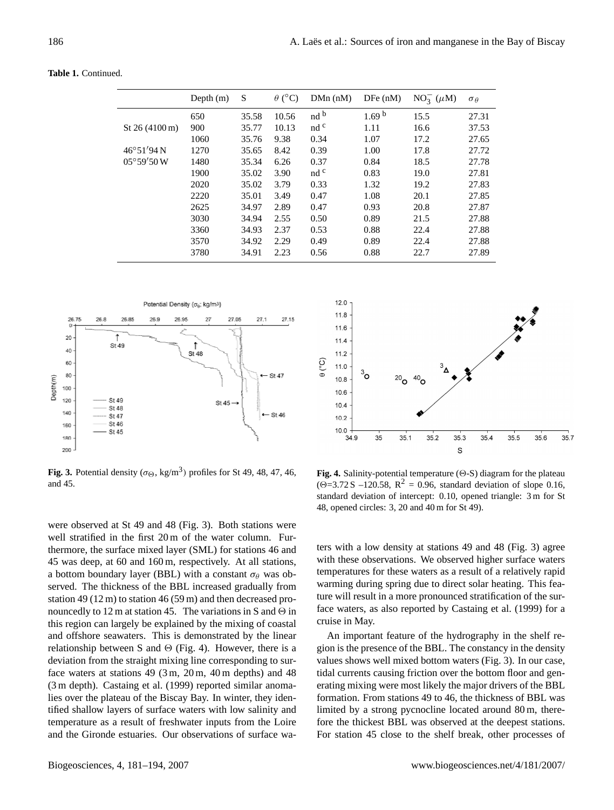**Table 1.** Continued.

|                            | Depth $(m)$ | S     | $\theta$ (°C) | $DMn$ (nM)      | DFe(nM)           | $NO_3^-$ ( $\mu$ M) | $\sigma_{\theta}$ |
|----------------------------|-------------|-------|---------------|-----------------|-------------------|---------------------|-------------------|
|                            | 650         | 35.58 | 10.56         | nd <sup>b</sup> | 1.69 <sup>b</sup> | 15.5                | 27.31             |
| St $26(4100 \,\mathrm{m})$ | 900         | 35.77 | 10.13         | nd <sup>c</sup> | 1.11              | 16.6                | 37.53             |
|                            | 1060        | 35.76 | 9.38          | 0.34            | 1.07              | 17.2                | 27.65             |
| $46^{\circ}51'94N$         | 1270        | 35.65 | 8.42          | 0.39            | 1.00              | 17.8                | 27.72             |
| $05^{\circ}59'50W$         | 1480        | 35.34 | 6.26          | 0.37            | 0.84              | 18.5                | 27.78             |
|                            | 1900        | 35.02 | 3.90          | nd <sup>c</sup> | 0.83              | 19.0                | 27.81             |
|                            | 2020        | 35.02 | 3.79          | 0.33            | 1.32              | 19.2                | 27.83             |
|                            | 2220        | 35.01 | 3.49          | 0.47            | 1.08              | 20.1                | 27.85             |
|                            | 2625        | 34.97 | 2.89          | 0.47            | 0.93              | 20.8                | 27.87             |
|                            | 3030        | 34.94 | 2.55          | 0.50            | 0.89              | 21.5                | 27.88             |
|                            | 3360        | 34.93 | 2.37          | 0.53            | 0.88              | 22.4                | 27.88             |
|                            | 3570        | 34.92 | 2.29          | 0.49            | 0.89              | 22.4                | 27.88             |
|                            | 3780        | 34.91 | 2.23          | 0.56            | 0.88              | 22.7                | 27.89             |
|                            |             |       |               |                 |                   |                     |                   |



**Fig. 3.** Potential density ( $\sigma_{\Theta}$ , kg/m<sup>3</sup>) profiles for St 49, 48, 47, 46, and 45.

were observed at St 49 and 48 (Fig. 3). Both stations were well stratified in the first 20 m of the water column. Furthermore, the surface mixed layer (SML) for stations 46 and 45 was deep, at 60 and 160 m, respectively. At all stations, a bottom boundary layer (BBL) with a constant  $\sigma_{\theta}$  was observed. The thickness of the BBL increased gradually from station 49 (12 m) to station 46 (59 m) and then decreased pronouncedly to 12 m at station 45. The variations in S and  $\Theta$  in this region can largely be explained by the mixing of coastal and offshore seawaters. This is demonstrated by the linear relationship between S and  $\Theta$  (Fig. 4). However, there is a deviation from the straight mixing line corresponding to surface waters at stations 49 (3 m, 20 m, 40 m depths) and 48 (3 m depth). Castaing et al. (1999) reported similar anomalies over the plateau of the Biscay Bay. In winter, they identified shallow layers of surface waters with low salinity and temperature as a result of freshwater inputs from the Loire and the Gironde estuaries. Our observations of surface wa-



**Fig. 4.** Salinity-potential temperature  $(\Theta - S)$  diagram for the plateau  $(\Theta = 3.72 \text{ S } -120.58, \text{ R}^2 = 0.96, \text{ standard deviation of slope } 0.16,$ standard deviation of intercept: 0.10, opened triangle: 3 m for St 48, opened circles: 3, 20 and 40 m for St 49).

ters with a low density at stations 49 and 48 (Fig. 3) agree with these observations. We observed higher surface waters temperatures for these waters as a result of a relatively rapid warming during spring due to direct solar heating. This feature will result in a more pronounced stratification of the surface waters, as also reported by Castaing et al. (1999) for a cruise in May.

An important feature of the hydrography in the shelf region is the presence of the BBL. The constancy in the density values shows well mixed bottom waters (Fig. 3). In our case, tidal currents causing friction over the bottom floor and generating mixing were most likely the major drivers of the BBL formation. From stations 49 to 46, the thickness of BBL was limited by a strong pycnocline located around 80 m, therefore the thickest BBL was observed at the deepest stations. For station 45 close to the shelf break, other processes of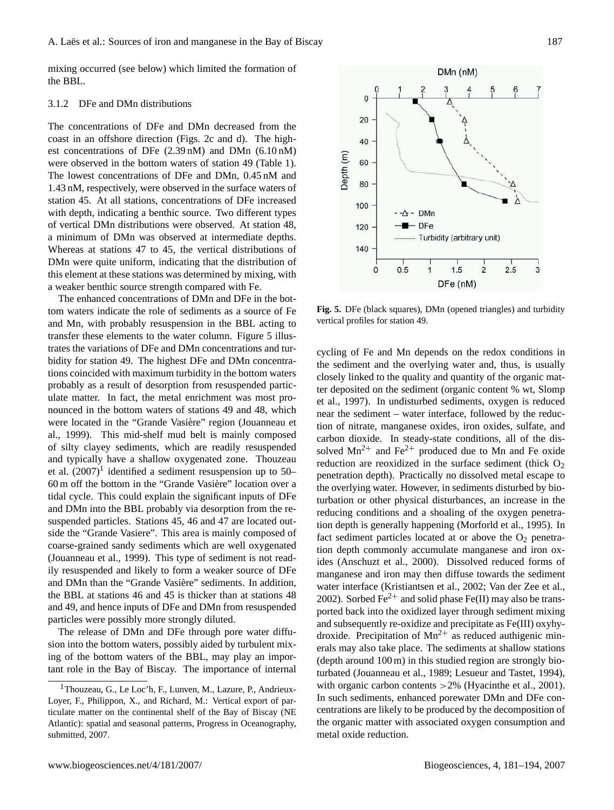mixing occurred (see below) which limited the formation of the BBL.

## 3.1.2 DFe and DMn distributions

The concentrations of DFe and DMn decreased from the coast in an offshore direction (Figs. 2c and d). The highest concentrations of DFe (2.39 nM) and DMn (6.10 nM) were observed in the bottom waters of station 49 (Table 1). The lowest concentrations of DFe and DMn, 0.45 nM and 1.43 nM, respectively, were observed in the surface waters of station 45. At all stations, concentrations of DFe increased with depth, indicating a benthic source. Two different types of vertical DMn distributions were observed. At station 48, a minimum of DMn was observed at intermediate depths. Whereas at stations 47 to 45, the vertical distributions of DMn were quite uniform, indicating that the distribution of this element at these stations was determined by mixing, with a weaker benthic source strength compared with Fe.

The enhanced concentrations of DMn and DFe in the bottom waters indicate the role of sediments as a source of Fe and Mn, with probably resuspension in the BBL acting to transfer these elements to the water column. Figure 5 illustrates the variations of DFe and DMn concentrations and turbidity for station 49. The highest DFe and DMn concentrations coincided with maximum turbidity in the bottom waters probably as a result of desorption from resuspended particulate matter. In fact, the metal enrichment was most pronounced in the bottom waters of stations 49 and 48, which were located in the "Grande Vasière" region (Jouanneau et al., 1999). This mid-shelf mud belt is mainly composed of silty clayey sediments, which are readily resuspended and typically have a shallow oxygenated zone. Thouzeau et al.  $(2007)^1$  $(2007)^1$  identified a sediment resuspension up to 50– 60 m off the bottom in the "Grande Vasiere" location over a ` tidal cycle. This could explain the significant inputs of DFe and DMn into the BBL probably via desorption from the resuspended particles. Stations 45, 46 and 47 are located outside the "Grande Vasiere". This area is mainly composed of coarse-grained sandy sediments which are well oxygenated (Jouanneau et al., 1999). This type of sediment is not readily resuspended and likely to form a weaker source of DFe and DMn than the "Grande Vasière" sediments. In addition, the BBL at stations 46 and 45 is thicker than at stations 48 and 49, and hence inputs of DFe and DMn from resuspended particles were possibly more strongly diluted.

The release of DMn and DFe through pore water diffusion into the bottom waters, possibly aided by turbulent mixing of the bottom waters of the BBL, may play an important role in the Bay of Biscay. The importance of internal



**Fig. 5.** DFe (black squares), DMn (opened triangles) and turbidity vertical profiles for station 49.

cycling of Fe and Mn depends on the redox conditions in the sediment and the overlying water and, thus, is usually closely linked to the quality and quantity of the organic matter deposited on the sediment (organic content % wt, Slomp et al., 1997). In undisturbed sediments, oxygen is reduced near the sediment – water interface, followed by the reduction of nitrate, manganese oxides, iron oxides, sulfate, and carbon dioxide. In steady-state conditions, all of the dissolved  $Mn^{2+}$  and Fe<sup>2+</sup> produced due to Mn and Fe oxide reduction are reoxidized in the surface sediment (thick  $O<sub>2</sub>$ ) penetration depth). Practically no dissolved metal escape to the overlying water. However, in sediments disturbed by bioturbation or other physical disturbances, an increase in the reducing conditions and a shoaling of the oxygen penetration depth is generally happening (Morforld et al., 1995). In fact sediment particles located at or above the  $O<sub>2</sub>$  penetration depth commonly accumulate manganese and iron oxides (Anschuzt et al., 2000). Dissolved reduced forms of manganese and iron may then diffuse towards the sediment water interface (Kristiantsen et al., 2002; Van der Zee et al., 2002). Sorbed Fe<sup>2+</sup> and solid phase Fe(II) may also be transported back into the oxidized layer through sediment mixing and subsequently re-oxidize and precipitate as Fe(III) oxyhydroxide. Precipitation of  $Mn^{2+}$  as reduced authigenic minerals may also take place. The sediments at shallow stations (depth around 100 m) in this studied region are strongly bioturbated (Jouanneau et al., 1989; Lesueur and Tastet, 1994), with organic carbon contents > 2% (Hyacinthe et al., 2001). In such sediments, enhanced porewater DMn and DFe concentrations are likely to be produced by the decomposition of the organic matter with associated oxygen consumption and metal oxide reduction.

<span id="page-6-0"></span><sup>1</sup>Thouzeau, G., Le Loc'h, F., Lunven, M., Lazure, P., Andrieux-Loyer, F., Philippon, X., and Richard, M.: Vertical export of particulate matter on the continental shelf of the Bay of Biscay (NE Atlantic): spatial and seasonal patterns, Progress in Oceanography, submitted, 2007.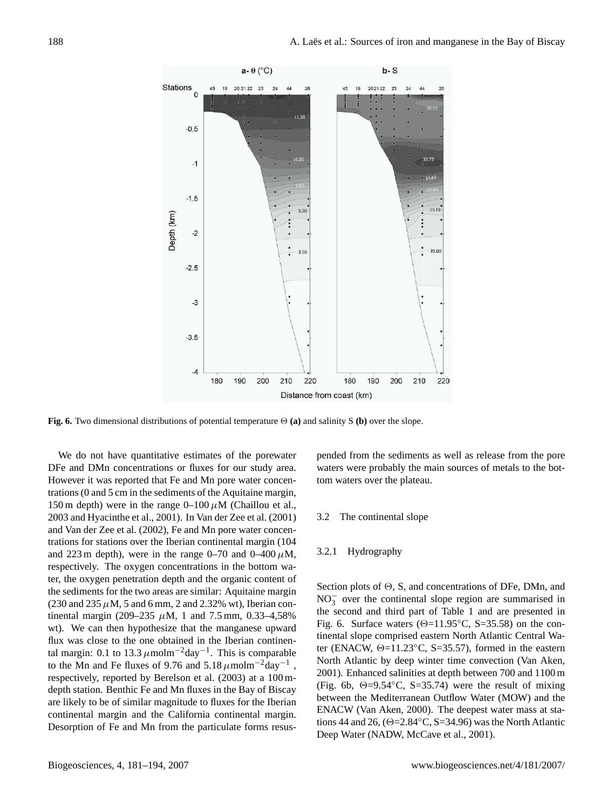

**Fig. 6.** Two dimensional distributions of potential temperature  $\Theta$  (a) and salinity S (b) over the slope.

We do not have quantitative estimates of the porewater DFe and DMn concentrations or fluxes for our study area. However it was reported that Fe and Mn pore water concentrations (0 and 5 cm in the sediments of the Aquitaine margin, 150 m depth) were in the range  $0-100 \mu M$  (Chaillou et al., 2003 and Hyacinthe et al., 2001). In Van der Zee et al. (2001) and Van der Zee et al. (2002), Fe and Mn pore water concentrations for stations over the Iberian continental margin (104 and 223 m depth), were in the range 0–70 and 0–400  $\mu$ M, respectively. The oxygen concentrations in the bottom water, the oxygen penetration depth and the organic content of the sediments for the two areas are similar: Aquitaine margin (230 and 235  $\mu$ M, 5 and 6 mm, 2 and 2.32% wt), Iberian continental margin (209–235  $\mu$ M, 1 and 7.5 mm, 0.33–4,58% wt). We can then hypothesize that the manganese upward flux was close to the one obtained in the Iberian continental margin: 0.1 to 13.3  $\mu$ molm<sup>-2</sup>day<sup>-1</sup>. This is comparable to the Mn and Fe fluxes of 9.76 and 5.18  $\mu$ molm<sup>-2</sup>day<sup>-1</sup>, respectively, reported by Berelson et al. (2003) at a 100 mdepth station. Benthic Fe and Mn fluxes in the Bay of Biscay are likely to be of similar magnitude to fluxes for the Iberian continental margin and the California continental margin. Desorption of Fe and Mn from the particulate forms resuspended from the sediments as well as release from the pore waters were probably the main sources of metals to the bottom waters over the plateau.

#### 3.2 The continental slope

#### 3.2.1 Hydrography

Section plots of  $\Theta$ , S, and concentrations of DFe, DMn, and  $NO<sub>3</sub><sup>-</sup>$  over the continental slope region are summarised in the second and third part of Table 1 and are presented in Fig. 6. Surface waters ( $\Theta$ =11.95°C, S=35.58) on the continental slope comprised eastern North Atlantic Central Water (ENACW,  $\Theta$ =11.23 $\degree$ C, S=35.57), formed in the eastern North Atlantic by deep winter time convection (Van Aken, 2001). Enhanced salinities at depth between 700 and 1100 m (Fig. 6b,  $\Theta = 9.54\degree C$ , S=35.74) were the result of mixing between the Mediterranean Outflow Water (MOW) and the ENACW (Van Aken, 2000). The deepest water mass at stations 44 and 26,  $(\Theta = 2.84\textdegree C, S = 34.96)$  was the North Atlantic Deep Water (NADW, McCave et al., 2001).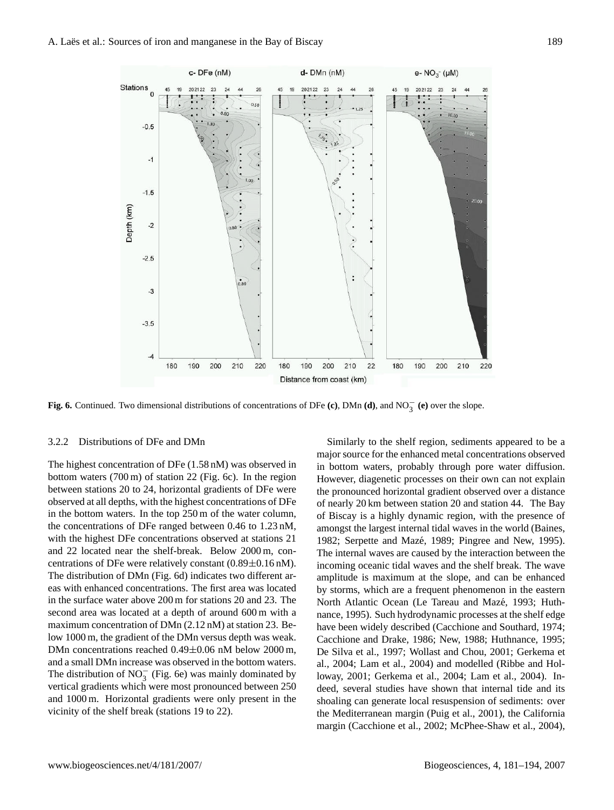

**Fig. 6.** Continued. Two dimensional distributions of concentrations of DFe **(c)**, DMn **(d)**, and NO<sup>−</sup> 3 **(e)** over the slope.

#### 3.2.2 Distributions of DFe and DMn

The highest concentration of DFe (1.58 nM) was observed in bottom waters (700 m) of station 22 (Fig. 6c). In the region between stations 20 to 24, horizontal gradients of DFe were observed at all depths, with the highest concentrations of DFe in the bottom waters. In the top 250 m of the water column, the concentrations of DFe ranged between 0.46 to 1.23 nM, with the highest DFe concentrations observed at stations 21 and 22 located near the shelf-break. Below 2000 m, concentrations of DFe were relatively constant  $(0.89 \pm 0.16 \text{ nM})$ . The distribution of DMn (Fig. 6d) indicates two different areas with enhanced concentrations. The first area was located in the surface water above 200 m for stations 20 and 23. The second area was located at a depth of around 600 m with a maximum concentration of DMn (2.12 nM) at station 23. Below 1000 m, the gradient of the DMn versus depth was weak. DMn concentrations reached 0.49±0.06 nM below 2000 m, and a small DMn increase was observed in the bottom waters. The distribution of  $NO_3^-$  (Fig. 6e) was mainly dominated by vertical gradients which were most pronounced between 250 and 1000 m. Horizontal gradients were only present in the vicinity of the shelf break (stations 19 to 22).

Similarly to the shelf region, sediments appeared to be a major source for the enhanced metal concentrations observed in bottom waters, probably through pore water diffusion. However, diagenetic processes on their own can not explain the pronounced horizontal gradient observed over a distance of nearly 20 km between station 20 and station 44. The Bay of Biscay is a highly dynamic region, with the presence of amongst the largest internal tidal waves in the world (Baines, 1982; Serpette and Mazé, 1989; Pingree and New, 1995). The internal waves are caused by the interaction between the incoming oceanic tidal waves and the shelf break. The wave amplitude is maximum at the slope, and can be enhanced by storms, which are a frequent phenomenon in the eastern North Atlantic Ocean (Le Tareau and Mazé, 1993; Huthnance, 1995). Such hydrodynamic processes at the shelf edge have been widely described (Cacchione and Southard, 1974; Cacchione and Drake, 1986; New, 1988; Huthnance, 1995; De Silva et al., 1997; Wollast and Chou, 2001; Gerkema et al., 2004; Lam et al., 2004) and modelled (Ribbe and Holloway, 2001; Gerkema et al., 2004; Lam et al., 2004). Indeed, several studies have shown that internal tide and its shoaling can generate local resuspension of sediments: over the Mediterranean margin (Puig et al., 2001), the California margin (Cacchione et al., 2002; McPhee-Shaw et al., 2004),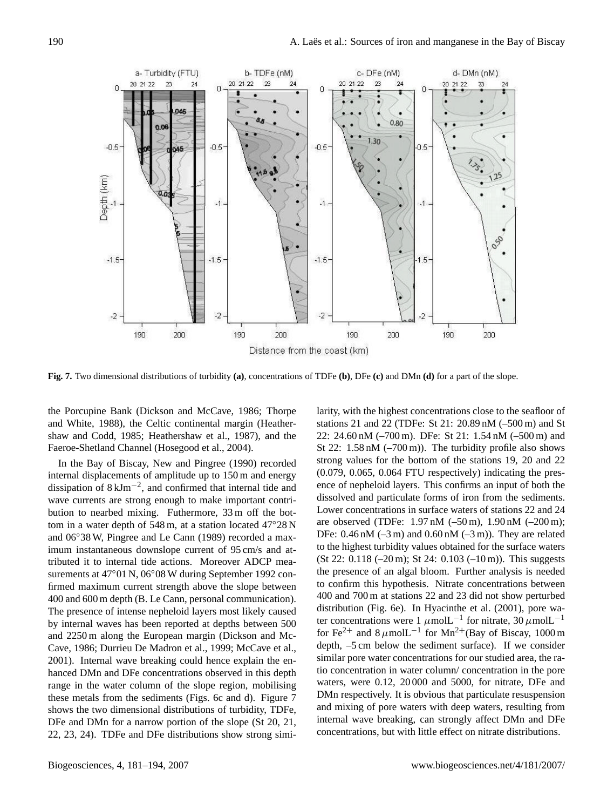

**Fig. 7.** Two dimensional distributions of turbidity **(a)**, concentrations of TDFe **(b)**, DFe **(c)** and DMn **(d)** for a part of the slope.

the Porcupine Bank (Dickson and McCave, 1986; Thorpe and White, 1988), the Celtic continental margin (Heathershaw and Codd, 1985; Heathershaw et al., 1987), and the Faeroe-Shetland Channel (Hosegood et al., 2004).

In the Bay of Biscay, New and Pingree (1990) recorded internal displacements of amplitude up to 150 m and energy dissipation of 8 kJm−<sup>2</sup> , and confirmed that internal tide and wave currents are strong enough to make important contribution to nearbed mixing. Futhermore, 33 m off the bottom in a water depth of 548 m, at a station located 47◦28 N and 06◦38 W, Pingree and Le Cann (1989) recorded a maximum instantaneous downslope current of 95 cm/s and attributed it to internal tide actions. Moreover ADCP measurements at 47°01 N, 06°08 W during September 1992 confirmed maximum current strength above the slope between 400 and 600 m depth (B. Le Cann, personal communication). The presence of intense nepheloid layers most likely caused by internal waves has been reported at depths between 500 and 2250 m along the European margin (Dickson and Mc-Cave, 1986; Durrieu De Madron et al., 1999; McCave et al., 2001). Internal wave breaking could hence explain the enhanced DMn and DFe concentrations observed in this depth range in the water column of the slope region, mobilising these metals from the sediments (Figs. 6c and d). Figure 7 shows the two dimensional distributions of turbidity, TDFe, DFe and DMn for a narrow portion of the slope (St 20, 21, 22, 23, 24). TDFe and DFe distributions show strong similarity, with the highest concentrations close to the seafloor of stations 21 and 22 (TDFe: St 21: 20.89 nM (–500 m) and St 22: 24.60 nM (–700 m). DFe: St 21: 1.54 nM (–500 m) and St 22:  $1.58 \text{ nM}$  (-700 m)). The turbidity profile also shows strong values for the bottom of the stations 19, 20 and 22 (0.079, 0.065, 0.064 FTU respectively) indicating the presence of nepheloid layers. This confirms an input of both the dissolved and particulate forms of iron from the sediments. Lower concentrations in surface waters of stations 22 and 24 are observed (TDFe: 1.97 nM (–50 m), 1.90 nM (–200 m); DFe:  $0.46 \text{ nM } (-3 \text{ m})$  and  $0.60 \text{ nM } (-3 \text{ m})$ . They are related to the highest turbidity values obtained for the surface waters (St 22: 0.118 (–20 m); St 24: 0.103 (–10 m)). This suggests the presence of an algal bloom. Further analysis is needed to confirm this hypothesis. Nitrate concentrations between 400 and 700 m at stations 22 and 23 did not show perturbed distribution (Fig. 6e). In Hyacinthe et al. (2001), pore water concentrations were 1  $\mu$ molL<sup>-1</sup> for nitrate, 30  $\mu$ molL<sup>-1</sup> for Fe<sup>2+</sup> and  $8 \mu$ molL<sup>-1</sup> for Mn<sup>2+</sup>(Bay of Biscay, 1000 m depth, –5 cm below the sediment surface). If we consider similar pore water concentrations for our studied area, the ratio concentration in water column/ concentration in the pore waters, were 0.12, 20 000 and 5000, for nitrate, DFe and DMn respectively. It is obvious that particulate resuspension and mixing of pore waters with deep waters, resulting from internal wave breaking, can strongly affect DMn and DFe concentrations, but with little effect on nitrate distributions.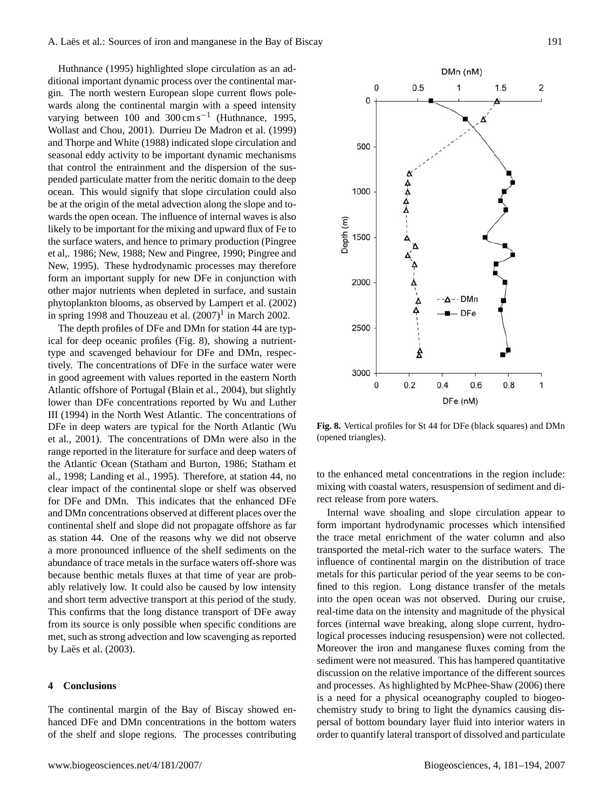Huthnance (1995) highlighted slope circulation as an additional important dynamic process over the continental margin. The north western European slope current flows polewards along the continental margin with a speed intensity varying between  $100$  and  $300 \text{ cm s}^{-1}$  (Huthnance, 1995, Wollast and Chou, 2001). Durrieu De Madron et al. (1999) and Thorpe and White (1988) indicated slope circulation and seasonal eddy activity to be important dynamic mechanisms that control the entrainment and the dispersion of the suspended particulate matter from the neritic domain to the deep ocean. This would signify that slope circulation could also be at the origin of the metal advection along the slope and towards the open ocean. The influence of internal waves is also likely to be important for the mixing and upward flux of Fe to the surface waters, and hence to primary production (Pingree et al,. 1986; New, 1988; New and Pingree, 1990; Pingree and New, 1995). These hydrodynamic processes may therefore form an important supply for new DFe in conjunction with other major nutrients when depleted in surface, and sustain phytoplankton blooms, as observed by Lampert et al. (2002) in spring [1](#page-6-0)998 and Thouzeau et al.  $(2007)^1$  in March 2002.

The depth profiles of DFe and DMn for station 44 are typical for deep oceanic profiles (Fig. 8), showing a nutrienttype and scavenged behaviour for DFe and DMn, respectively. The concentrations of DFe in the surface water were in good agreement with values reported in the eastern North Atlantic offshore of Portugal (Blain et al., 2004), but slightly lower than DFe concentrations reported by Wu and Luther III (1994) in the North West Atlantic. The concentrations of DFe in deep waters are typical for the North Atlantic (Wu et al., 2001). The concentrations of DMn were also in the range reported in the literature for surface and deep waters of the Atlantic Ocean (Statham and Burton, 1986; Statham et al., 1998; Landing et al., 1995). Therefore, at station 44, no clear impact of the continental slope or shelf was observed for DFe and DMn. This indicates that the enhanced DFe and DMn concentrations observed at different places over the continental shelf and slope did not propagate offshore as far as station 44. One of the reasons why we did not observe a more pronounced influence of the shelf sediments on the abundance of trace metals in the surface waters off-shore was because benthic metals fluxes at that time of year are probably relatively low. It could also be caused by low intensity and short term advective transport at this period of the study. This confirms that the long distance transport of DFe away from its source is only possible when specific conditions are met, such as strong advection and low scavenging as reported by Laës et al.  $(2003)$ .

## **4 Conclusions**

The continental margin of the Bay of Biscay showed enhanced DFe and DMn concentrations in the bottom waters of the shelf and slope regions. The processes contributing



**Fig. 8.** Vertical profiles for St 44 for DFe (black squares) and DMn (opened triangles).

to the enhanced metal concentrations in the region include: mixing with coastal waters, resuspension of sediment and direct release from pore waters.

Internal wave shoaling and slope circulation appear to form important hydrodynamic processes which intensified the trace metal enrichment of the water column and also transported the metal-rich water to the surface waters. The influence of continental margin on the distribution of trace metals for this particular period of the year seems to be confined to this region. Long distance transfer of the metals into the open ocean was not observed. During our cruise, real-time data on the intensity and magnitude of the physical forces (internal wave breaking, along slope current, hydrological processes inducing resuspension) were not collected. Moreover the iron and manganese fluxes coming from the sediment were not measured. This has hampered quantitative discussion on the relative importance of the different sources and processes. As highlighted by McPhee-Shaw (2006) there is a need for a physical oceanography coupled to biogeochemistry study to bring to light the dynamics causing dispersal of bottom boundary layer fluid into interior waters in order to quantify lateral transport of dissolved and particulate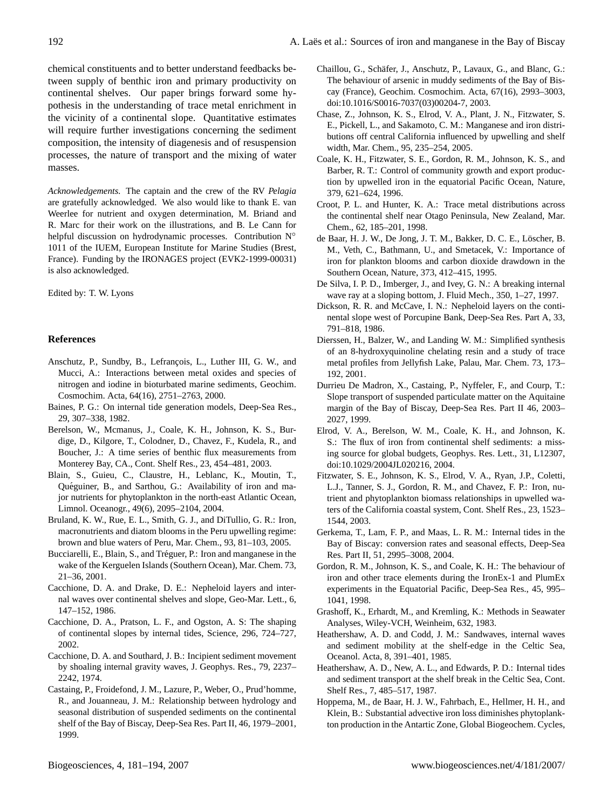chemical constituents and to better understand feedbacks between supply of benthic iron and primary productivity on continental shelves. Our paper brings forward some hypothesis in the understanding of trace metal enrichment in the vicinity of a continental slope. Quantitative estimates will require further investigations concerning the sediment composition, the intensity of diagenesis and of resuspension processes, the nature of transport and the mixing of water masses.

*Acknowledgements.* The captain and the crew of the RV *Pelagia* are gratefully acknowledged. We also would like to thank E. van Weerlee for nutrient and oxygen determination, M. Briand and R. Marc for their work on the illustrations, and B. Le Cann for helpful discussion on hydrodynamic processes. Contribution N° 1011 of the IUEM, European Institute for Marine Studies (Brest, France). Funding by the IRONAGES project (EVK2-1999-00031) is also acknowledged.

## Edited by: T. W. Lyons

## **References**

- Anschutz, P., Sundby, B., Lefrançois, L., Luther III, G. W., and Mucci, A.: Interactions between metal oxides and species of nitrogen and iodine in bioturbated marine sediments, Geochim. Cosmochim. Acta, 64(16), 2751–2763, 2000.
- Baines, P. G.: On internal tide generation models, Deep-Sea Res., 29, 307–338, 1982.
- Berelson, W., Mcmanus, J., Coale, K. H., Johnson, K. S., Burdige, D., Kilgore, T., Colodner, D., Chavez, F., Kudela, R., and Boucher, J.: A time series of benthic flux measurements from Monterey Bay, CA., Cont. Shelf Res., 23, 454–481, 2003.
- Blain, S., Guieu, C., Claustre, H., Leblanc, K., Moutin, T., Quéguiner, B., and Sarthou, G.: Availability of iron and major nutrients for phytoplankton in the north-east Atlantic Ocean, Limnol. Oceanogr., 49(6), 2095–2104, 2004.
- Bruland, K. W., Rue, E. L., Smith, G. J., and DiTullio, G. R.: Iron, macronutrients and diatom blooms in the Peru upwelling regime: brown and blue waters of Peru, Mar. Chem., 93, 81–103, 2005.
- Bucciarelli, E., Blain, S., and Tréguer, P.: Iron and manganese in the wake of the Kerguelen Islands (Southern Ocean), Mar. Chem. 73, 21–36, 2001.
- Cacchione, D. A. and Drake, D. E.: Nepheloid layers and internal waves over continental shelves and slope, Geo-Mar. Lett., 6, 147–152, 1986.
- Cacchione, D. A., Pratson, L. F., and Ogston, A. S: The shaping of continental slopes by internal tides, Science, 296, 724–727, 2002.
- Cacchione, D. A. and Southard, J. B.: Incipient sediment movement by shoaling internal gravity waves, J. Geophys. Res., 79, 2237– 2242, 1974.
- Castaing, P., Froidefond, J. M., Lazure, P., Weber, O., Prud'homme, R., and Jouanneau, J. M.: Relationship between hydrology and seasonal distribution of suspended sediments on the continental shelf of the Bay of Biscay, Deep-Sea Res. Part II, 46, 1979–2001, 1999.
- Chaillou, G., Schafer, J., Anschutz, P., Lavaux, G., and Blanc, G.: ¨ The behaviour of arsenic in muddy sediments of the Bay of Biscay (France), Geochim. Cosmochim. Acta, 67(16), 2993–3003, doi:10.1016/S0016-7037(03)00204-7, 2003.
- Chase, Z., Johnson, K. S., Elrod, V. A., Plant, J. N., Fitzwater, S. E., Pickell, L., and Sakamoto, C. M.: Manganese and iron distributions off central California influenced by upwelling and shelf width, Mar. Chem., 95, 235–254, 2005.
- Coale, K. H., Fitzwater, S. E., Gordon, R. M., Johnson, K. S., and Barber, R. T.: Control of community growth and export production by upwelled iron in the equatorial Pacific Ocean, Nature, 379, 621–624, 1996.
- Croot, P. L. and Hunter, K. A.: Trace metal distributions across the continental shelf near Otago Peninsula, New Zealand, Mar. Chem., 62, 185–201, 1998.
- de Baar, H. J. W., De Jong, J. T. M., Bakker, D. C. E., Löscher, B. M., Veth, C., Bathmann, U., and Smetacek, V.: Importance of iron for plankton blooms and carbon dioxide drawdown in the Southern Ocean, Nature, 373, 412–415, 1995.
- De Silva, I. P. D., Imberger, J., and Ivey, G. N.: A breaking internal wave ray at a sloping bottom, J. Fluid Mech., 350, 1–27, 1997.
- Dickson, R. R. and McCave, I. N.: Nepheloid layers on the continental slope west of Porcupine Bank, Deep-Sea Res. Part A, 33, 791–818, 1986.
- Dierssen, H., Balzer, W., and Landing W. M.: Simplified synthesis of an 8-hydroxyquinoline chelating resin and a study of trace metal profiles from Jellyfish Lake, Palau, Mar. Chem. 73, 173– 192, 2001.
- Durrieu De Madron, X., Castaing, P., Nyffeler, F., and Courp, T.: Slope transport of suspended particulate matter on the Aquitaine margin of the Bay of Biscay, Deep-Sea Res. Part II 46, 2003– 2027, 1999.
- Elrod, V. A., Berelson, W. M., Coale, K. H., and Johnson, K. S.: The flux of iron from continental shelf sediments: a missing source for global budgets, Geophys. Res. Lett., 31, L12307, doi:10.1029/2004JL020216, 2004.
- Fitzwater, S. E., Johnson, K. S., Elrod, V. A., Ryan, J.P., Coletti, L.J., Tanner, S. J., Gordon, R. M., and Chavez, F. P.: Iron, nutrient and phytoplankton biomass relationships in upwelled waters of the California coastal system, Cont. Shelf Res., 23, 1523– 1544, 2003.
- Gerkema, T., Lam, F. P., and Maas, L. R. M.: Internal tides in the Bay of Biscay: conversion rates and seasonal effects, Deep-Sea Res. Part II, 51, 2995–3008, 2004.
- Gordon, R. M., Johnson, K. S., and Coale, K. H.: The behaviour of iron and other trace elements during the IronEx-1 and PlumEx experiments in the Equatorial Pacific, Deep-Sea Res., 45, 995– 1041, 1998.
- Grashoff, K., Erhardt, M., and Kremling, K.: Methods in Seawater Analyses, Wiley-VCH, Weinheim, 632, 1983.
- Heathershaw, A. D. and Codd, J. M.: Sandwaves, internal waves and sediment mobility at the shelf-edge in the Celtic Sea, Oceanol. Acta, 8, 391–401, 1985.
- Heathershaw, A. D., New, A. L., and Edwards, P. D.: Internal tides and sediment transport at the shelf break in the Celtic Sea, Cont. Shelf Res., 7, 485–517, 1987.
- Hoppema, M., de Baar, H. J. W., Fahrbach, E., Hellmer, H. H., and Klein, B.: Substantial advective iron loss diminishes phytoplankton production in the Antartic Zone, Global Biogeochem. Cycles,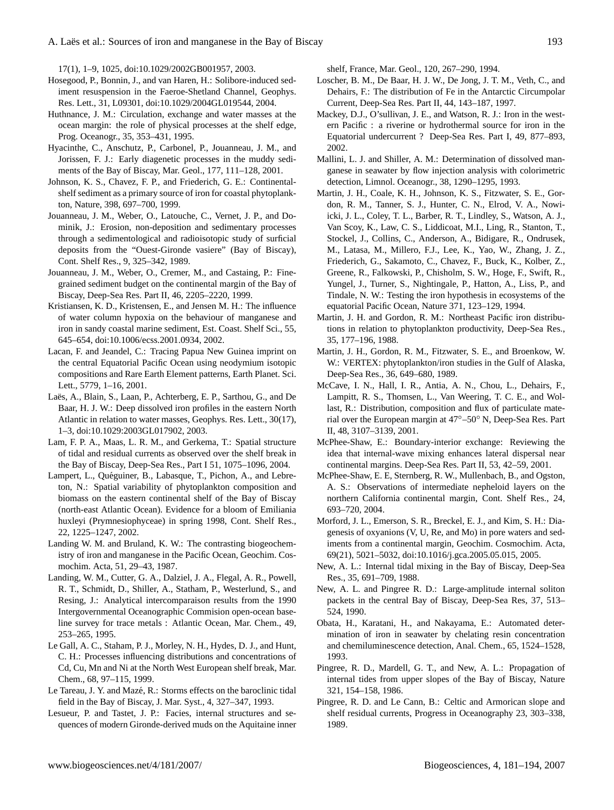17(1), 1–9, 1025, doi:10.1029/2002GB001957, 2003.

- Hosegood, P., Bonnin, J., and van Haren, H.: Solibore-induced sediment resuspension in the Faeroe-Shetland Channel, Geophys. Res. Lett., 31, L09301, doi:10.1029/2004GL019544, 2004.
- Huthnance, J. M.: Circulation, exchange and water masses at the ocean margin: the role of physical processes at the shelf edge, Prog. Oceanogr., 35, 353–431, 1995.
- Hyacinthe, C., Anschutz, P., Carbonel, P., Jouanneau, J. M., and Jorissen, F. J.: Early diagenetic processes in the muddy sediments of the Bay of Biscay, Mar. Geol., 177, 111–128, 2001.
- Johnson, K. S., Chavez, F. P., and Friederich, G. E.: Continentalshelf sediment as a primary source of iron for coastal phytoplankton, Nature, 398, 697–700, 1999.
- Jouanneau, J. M., Weber, O., Latouche, C., Vernet, J. P., and Dominik, J.: Erosion, non-deposition and sedimentary processes through a sedimentological and radioisotopic study of surficial deposits from the "Ouest-Gironde vasiere" (Bay of Biscay), Cont. Shelf Res., 9, 325–342, 1989.
- Jouanneau, J. M., Weber, O., Cremer, M., and Castaing, P.: Finegrained sediment budget on the continental margin of the Bay of Biscay, Deep-Sea Res. Part II, 46, 2205–2220, 1999.
- Kristiansen, K. D., Kristensen, E., and Jensen M. H.: The influence of water column hypoxia on the behaviour of manganese and iron in sandy coastal marine sediment, Est. Coast. Shelf Sci., 55, 645–654, doi:10.1006/ecss.2001.0934, 2002.
- Lacan, F. and Jeandel, C.: Tracing Papua New Guinea imprint on the central Equatorial Pacific Ocean using neodymium isotopic compositions and Rare Earth Element patterns, Earth Planet. Sci. Lett., 5779, 1–16, 2001.
- Laës, A., Blain, S., Laan, P., Achterberg, E. P., Sarthou, G., and De Baar, H. J. W.: Deep dissolved iron profiles in the eastern North Atlantic in relation to water masses, Geophys. Res. Lett., 30(17), 1–3, doi:10.1029:2003GL017902, 2003.
- Lam, F. P. A., Maas, L. R. M., and Gerkema, T.: Spatial structure of tidal and residual currents as observed over the shelf break in the Bay of Biscay, Deep-Sea Res., Part I 51, 1075–1096, 2004.
- Lampert, L., Quéguiner, B., Labasque, T., Pichon, A., and Lebreton, N.: Spatial variability of phytoplankton composition and biomass on the eastern continental shelf of the Bay of Biscay (north-east Atlantic Ocean). Evidence for a bloom of Emiliania huxleyi (Prymnesiophyceae) in spring 1998, Cont. Shelf Res., 22, 1225–1247, 2002.
- Landing W. M. and Bruland, K. W.: The contrasting biogeochemistry of iron and manganese in the Pacific Ocean, Geochim. Cosmochim. Acta, 51, 29–43, 1987.
- Landing, W. M., Cutter, G. A., Dalziel, J. A., Flegal, A. R., Powell, R. T., Schmidt, D., Shiller, A., Statham, P., Westerlund, S., and Resing, J.: Analytical intercomparaison results from the 1990 Intergovernmental Oceanographic Commision open-ocean baseline survey for trace metals : Atlantic Ocean, Mar. Chem., 49, 253–265, 1995.
- Le Gall, A. C., Staham, P. J., Morley, N. H., Hydes, D. J., and Hunt, C. H.: Processes influencing distributions and concentrations of Cd, Cu, Mn and Ni at the North West European shelf break, Mar. Chem., 68, 97–115, 1999.
- Le Tareau, J. Y. and Mazé, R.: Storms effects on the baroclinic tidal field in the Bay of Biscay, J. Mar. Syst., 4, 327–347, 1993.
- Lesueur, P. and Tastet, J. P.: Facies, internal structures and sequences of modern Gironde-derived muds on the Aquitaine inner

shelf, France, Mar. Geol., 120, 267–290, 1994.

- Loscher, B. M., De Baar, H. J. W., De Jong, J. T. M., Veth, C., and Dehairs, F.: The distribution of Fe in the Antarctic Circumpolar Current, Deep-Sea Res. Part II, 44, 143–187, 1997.
- Mackey, D.J., O'sullivan, J. E., and Watson, R. J.: Iron in the western Pacific : a riverine or hydrothermal source for iron in the Equatorial undercurrent ? Deep-Sea Res. Part I, 49, 877–893, 2002.
- Mallini, L. J. and Shiller, A. M.: Determination of dissolved manganese in seawater by flow injection analysis with colorimetric detection, Limnol. Oceanogr., 38, 1290–1295, 1993.
- Martin, J. H., Coale, K. H., Johnson, K. S., Fitzwater, S. E., Gordon, R. M., Tanner, S. J., Hunter, C. N., Elrod, V. A., Nowiicki, J. L., Coley, T. L., Barber, R. T., Lindley, S., Watson, A. J., Van Scoy, K., Law, C. S., Liddicoat, M.I., Ling, R., Stanton, T., Stockel, J., Collins, C., Anderson, A., Bidigare, R., Ondrusek, M., Latasa, M., Millero, F.J., Lee, K., Yao, W., Zhang, J. Z., Friederich, G., Sakamoto, C., Chavez, F., Buck, K., Kolber, Z., Greene, R., Falkowski, P., Chisholm, S. W., Hoge, F., Swift, R., Yungel, J., Turner, S., Nightingale, P., Hatton, A., Liss, P., and Tindale, N. W.: Testing the iron hypothesis in ecosystems of the equatorial Pacific Ocean, Nature 371, 123–129, 1994.
- Martin, J. H. and Gordon, R. M.: Northeast Pacific iron distributions in relation to phytoplankton productivity, Deep-Sea Res., 35, 177–196, 1988.
- Martin, J. H., Gordon, R. M., Fitzwater, S. E., and Broenkow, W. W.: VERTEX: phytoplankton/iron studies in the Gulf of Alaska, Deep-Sea Res., 36, 649–680, 1989.
- McCave, I. N., Hall, I. R., Antia, A. N., Chou, L., Dehairs, F., Lampitt, R. S., Thomsen, L., Van Weering, T. C. E., and Wollast, R.: Distribution, composition and flux of particulate material over the European margin at 47◦–50◦ N, Deep-Sea Res. Part II, 48, 3107–3139, 2001.
- McPhee-Shaw, E.: Boundary-interior exchange: Reviewing the idea that internal-wave mixing enhances lateral dispersal near continental margins. Deep-Sea Res. Part II, 53, 42–59, 2001.
- McPhee-Shaw, E. E, Sternberg, R. W., Mullenbach, B., and Ogston, A. S.: Observations of intermediate nepheloid layers on the northern California continental margin, Cont. Shelf Res., 24, 693–720, 2004.
- Morford, J. L., Emerson, S. R., Breckel, E. J., and Kim, S. H.: Diagenesis of oxyanions (V, U, Re, and Mo) in pore waters and sediments from a continental margin, Geochim. Cosmochim. Acta, 69(21), 5021–5032, doi:10.1016/j.gca.2005.05.015, 2005.
- New, A. L.: Internal tidal mixing in the Bay of Biscay, Deep-Sea Res., 35, 691–709, 1988.
- New, A. L. and Pingree R. D.: Large-amplitude internal soliton packets in the central Bay of Biscay, Deep-Sea Res, 37, 513– 524, 1990.
- Obata, H., Karatani, H., and Nakayama, E.: Automated determination of iron in seawater by chelating resin concentration and chemiluminescence detection, Anal. Chem., 65, 1524–1528, 1993.
- Pingree, R. D., Mardell, G. T., and New, A. L.: Propagation of internal tides from upper slopes of the Bay of Biscay, Nature 321, 154–158, 1986.
- Pingree, R. D. and Le Cann, B.: Celtic and Armorican slope and shelf residual currents, Progress in Oceanography 23, 303–338, 1989.